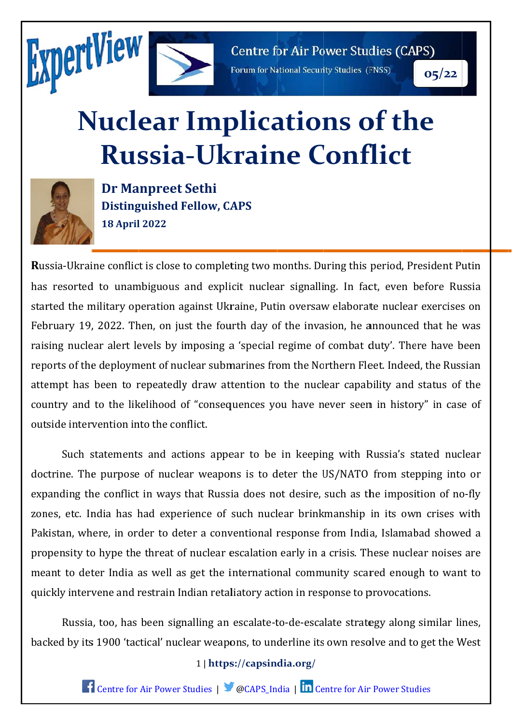



**Centre for Air Power Studies (CAPS)** 

Forum for National Security Studies (FNSS)

 $05/22$ 

# **Nuclear Implications of the Russia-Ukraine Conflict**



**Dr Manpreet Sethi Distinguished Fellow, CAPS 18 April 2022** 

Russia-Ukraine conflict is close to completing two months. During this period, President Putin has resorted to unambiguous and explicit nuclear signalling. In fact, even before Russia started the military operation against Ukraine, Putin oversaw elaborate nuclear exercises on February 19, 2022. Then, on just the fourth day of the invasion, he announced that he was raising nuclear alert levels by imposing a 'special regime of combat duty'. There have been reports of the deployment of nuclear submarines from the Northern Fleet. Indeed, the Russian attempt has been to repeatedly draw attention to the nuclear capability and status of the country and to the likelihood of "consequences you have never seen in history" in case of outside intervention into the conflict.

Such statements and actions appear to be in keeping with Russia's stated nuclear doctrine. The purpose of nuclear weapons is to deter the US/NATO from stepping into or expanding the conflict in ways that Russia does not desire, such as the imposition of no-fly zones, etc. India has had experience of such nuclear brinkmanship in its own crises with Pakistan, where, in order to deter a conventional response from India, Islamabad showed a propensity to hype the threat of nuclear escalation early in a crisis. These nuclear noises are meant to deter India as well as get the international community scared enough to want to quickly intervene and restrain Indian retaliatory action in response to provocations.

Russia, too, has been signalling an escalate-to-de-escalate strategy along similar lines, backed by its 1900 'tactical' nuclear weapons, to underline its own resolve and to get the West

# 1 | https://capsindia.org/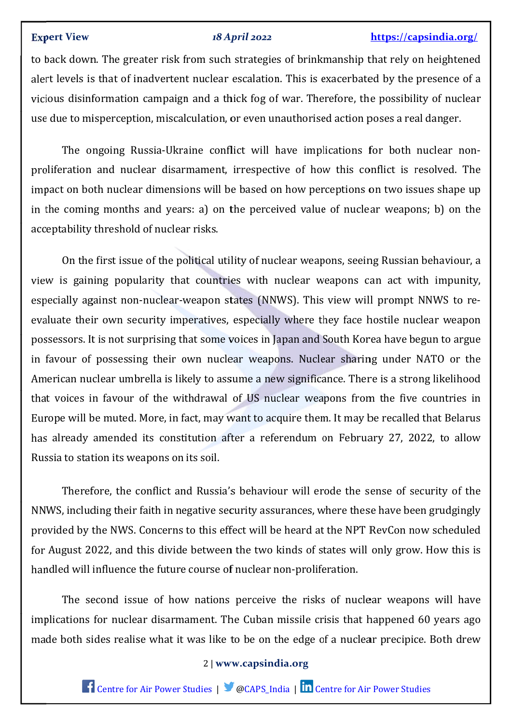## **Expert View**

#### 18 April 2022

# https://capsindia.org/

to back down. The greater risk from such strategies of brinkmanship that rely on heightened alert levels is that of inadvertent nuclear escalation. This is exacerbated by the presence of a vicious disinformation campaign and a thick fog of war. Therefore, the possibility of nuclear use due to misperception, miscalculation, or even unauthorised action poses a real danger.

The ongoing Russia-Ukraine conflict will have implications for both nuclear nonproliferation and nuclear disarmament, irrespective of how this conflict is resolved. The impact on both nuclear dimensions will be based on how perceptions on two issues shape up in the coming months and years: a) on the perceived value of nuclear weapons; b) on the acceptability threshold of nuclear risks.

On the first issue of the political utility of nuclear weapons, seeing Russian behaviour, a view is gaining popularity that countries with nuclear weapons can act with impunity, especially against non-nuclear-weapon states (NNWS). This view will prompt NNWS to reevaluate their own security imperatives, especially where they face hostile nuclear weapon possessors. It is not surprising that some voices in Japan and South Korea have begun to argue in favour of possessing their own nuclear weapons. Nuclear sharing under NATO or the American nuclear umbrella is likely to assume a new significance. There is a strong likelihood that voices in favour of the withdrawal of US nuclear weapons from the five countries in Europe will be muted. More, in fact, may want to acquire them. It may be recalled that Belarus has already amended its constitution after a referendum on February 27, 2022, to allow Russia to station its weapons on its soil.

Therefore, the conflict and Russia's behaviour will erode the sense of security of the NNWS, including their faith in negative security assurances, where these have been grudgingly provided by the NWS. Concerns to this effect will be heard at the NPT RevCon now scheduled for August 2022, and this divide between the two kinds of states will only grow. How this is handled will influence the future course of nuclear non-proliferation.

The second issue of how nations perceive the risks of nuclear weapons will have implications for nuclear disarmament. The Cuban missile crisis that happened 60 years ago made both sides realise what it was like to be on the edge of a nuclear precipice. Both drew

# 2 | www.capsindia.org